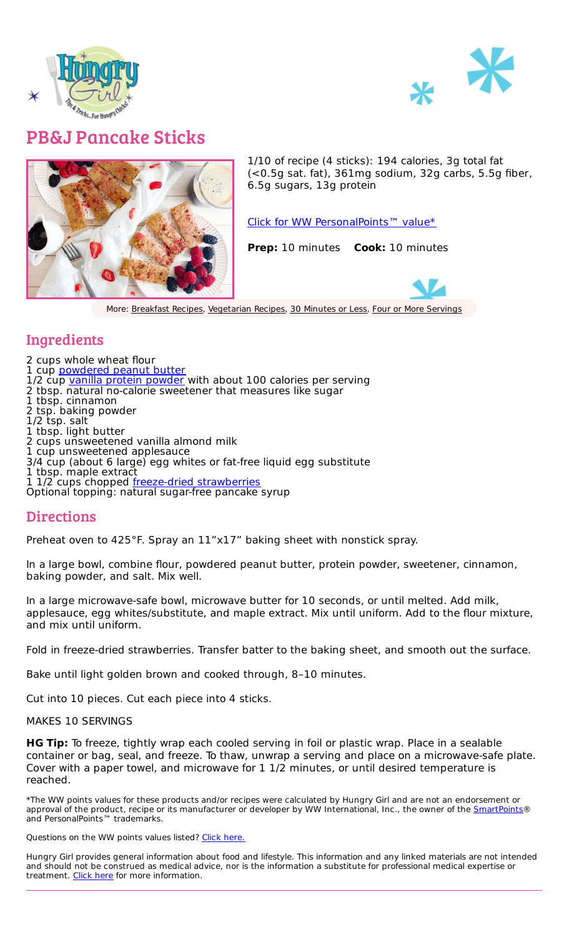



## PB&J Pancake Sticks



1/10 of recipe (4 sticks): 194 calories, 3g total fat (<0.5g sat. fat), 361mg sodium, 32g carbs, 5.5g fiber, 6.5g sugars, 13g protein

Click for WW [PersonalPoints™](https://cmx.weightwatchers.com/details/MEMBERRECIPE:61d4a269b58bc236a7c7112d) value\*

**Prep:** 10 minutes **Cook:** 10 minutes



More: [Breakfast](file:///recipes/categories/breakfast-recipes) Recipes, [Vegetarian](file:///recipes/categories/meatless-recipes) Recipes, 30 [Minutes](file:///recipes/tags/30-minutes-or-less) or Less, Four or More [Servings](file:///recipes/tags/four-or-more-servings)

## Ingredients

2 cups whole wheat flour 1 cup [powdered](https://amzn.to/3InN294) peanut butter 1/2 cup vanilla protein [powder](https://amzn.to/3FHBkUP) with about 100 calories per serving 2 tbsp. natural no-calorie sweetener that measures like sugar 1 tbsp. cinnamon 2 tsp. baking powder 1/2 tsp. salt 1 tbsp. light butter 2 cups unsweetened vanilla almond milk 1 cup unsweetened applesauce 3/4 cup (about 6 large) egg whites or fat-free liquid egg substitute 1 tbsp. maple extract 1 1/2 cups chopped freeze-dried [strawberries](https://amzn.to/3tHoxPL) Optional topping: natural sugar-free pancake syrup

## Directions

Preheat oven to 425°F. Spray an 11"x17" baking sheet with nonstick spray.

In a large bowl, combine flour, powdered peanut butter, protein powder, sweetener, cinnamon, baking powder, and salt. Mix well.

In a large microwave-safe bowl, microwave butter for 10 seconds, or until melted. Add milk, applesauce, egg whites/substitute, and maple extract. Mix until uniform. Add to the flour mixture, and mix until uniform.

Fold in freeze-dried strawberries. Transfer batter to the baking sheet, and smooth out the surface.

Bake until light golden brown and cooked through, 8–10 minutes.

Cut into 10 pieces. Cut each piece into 4 sticks.

## MAKES 10 SERVINGS

**HG Tip:** To freeze, tightly wrap each cooled serving in foil or plastic wrap. Place in a sealable container or bag, seal, and freeze. To thaw, unwrap a serving and place on a microwave-safe plate. Cover with a paper towel, and microwave for 1 1/2 minutes, or until desired temperature is reached.

\*The WW points values for these products and/or recipes were calculated by Hungry Girl and are not an endorsement or approval of the product, recipe or its manufacturer or developer by WW International, Inc., the owner of the **[SmartPoints](https://www.hungry-girl.com/pages/smartpoints)**® and PersonalPoints™ trademarks.

Questions on the WW points values listed? Click [here.](file:///pages/smartpoints)

Hungry Girl provides general information about food and lifestyle. This information and any linked materials are not intended and should not be construed as medical advice, nor is the information a substitute for professional medical expertise or treatment. [Click](https://www.hungry-girl.com/pages/health-nutrition-disclaimer) here for more information.